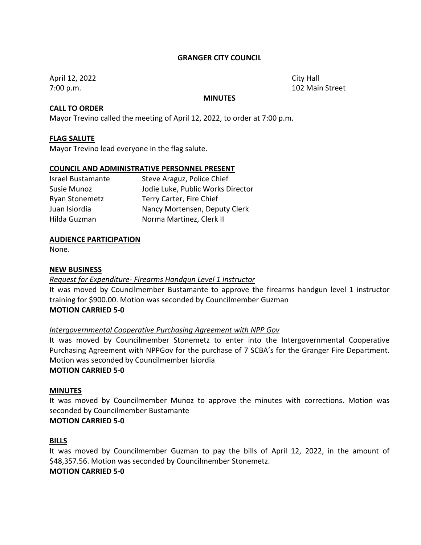#### **GRANGER CITY COUNCIL**

April 12, 2022 **City Hall** 

7:00 p.m. 102 Main Street

#### **MINUTES**

### **CALL TO ORDER**

Mayor Trevino called the meeting of April 12, 2022, to order at 7:00 p.m.

### **FLAG SALUTE**

Mayor Trevino lead everyone in the flag salute.

### **COUNCIL AND ADMINISTRATIVE PERSONNEL PRESENT**

| <b>Israel Bustamante</b> | Steve Araguz, Police Chief        |  |
|--------------------------|-----------------------------------|--|
| Susie Munoz              | Jodie Luke, Public Works Director |  |
| Ryan Stonemetz           | Terry Carter, Fire Chief          |  |
| Juan Isiordia            | Nancy Mortensen, Deputy Clerk     |  |
| Hilda Guzman             | Norma Martinez, Clerk II          |  |

### **AUDIENCE PARTICIPATION**

None.

### **NEW BUSINESS**

### *Request for Expenditure- Firearms Handgun Level 1 Instructor*

It was moved by Councilmember Bustamante to approve the firearms handgun level 1 instructor training for \$900.00. Motion was seconded by Councilmember Guzman **MOTION CARRIED 5-0**

### *Intergovernmental Cooperative Purchasing Agreement with NPP Gov*

It was moved by Councilmember Stonemetz to enter into the Intergovernmental Cooperative Purchasing Agreement with NPPGov for the purchase of 7 SCBA's for the Granger Fire Department. Motion was seconded by Councilmember Isiordia

### **MOTION CARRIED 5-0**

### **MINUTES**

It was moved by Councilmember Munoz to approve the minutes with corrections. Motion was seconded by Councilmember Bustamante **MOTION CARRIED 5-0**

### **BILLS**

It was moved by Councilmember Guzman to pay the bills of April 12, 2022, in the amount of \$48,357.56. Motion was seconded by Councilmember Stonemetz.

## **MOTION CARRIED 5-0**